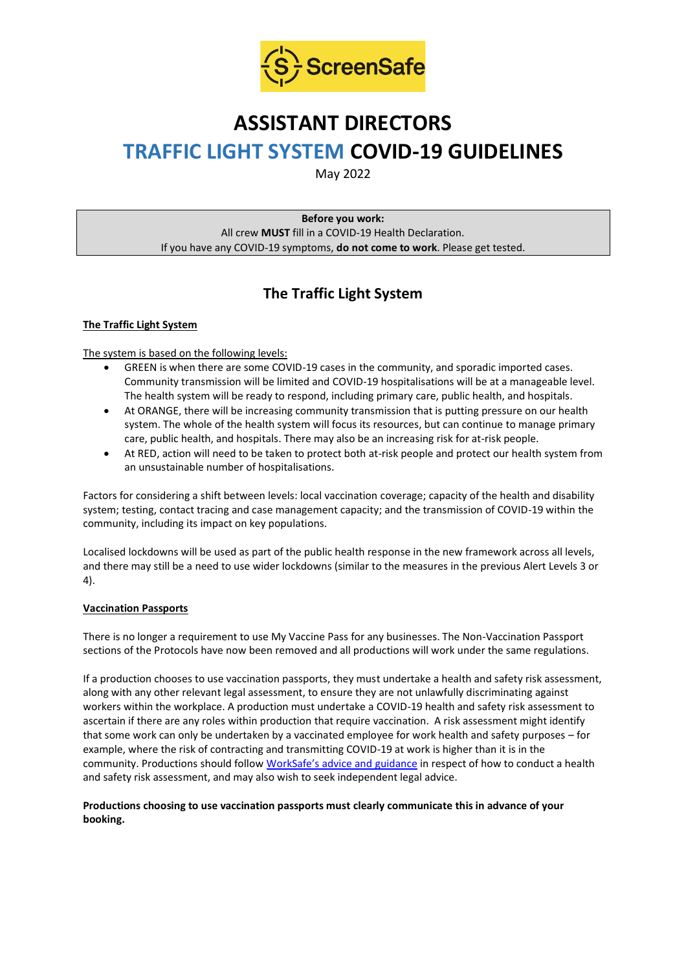

# **ASSISTANT DIRECTORS TRAFFIC LIGHT SYSTEM COVID-19 GUIDELINES**

May 2022

**Before you work:** All crew **MUST** fill in a COVID-19 Health Declaration. If you have any COVID-19 symptoms, **do not come to work**. Please get tested.

# **The Traffic Light System**

# **The Traffic Light System**

The system is based on the following levels:

- GREEN is when there are some COVID-19 cases in the community, and sporadic imported cases. Community transmission will be limited and COVID-19 hospitalisations will be at a manageable level. The health system will be ready to respond, including primary care, public health, and hospitals.
- At ORANGE, there will be increasing community transmission that is putting pressure on our health system. The whole of the health system will focus its resources, but can continue to manage primary care, public health, and hospitals. There may also be an increasing risk for at-risk people.
- At RED, action will need to be taken to protect both at-risk people and protect our health system from an unsustainable number of hospitalisations.

Factors for considering a shift between levels: local vaccination coverage; capacity of the health and disability system; testing, contact tracing and case management capacity; and the transmission of COVID-19 within the community, including its impact on key populations.

Localised lockdowns will be used as part of the public health response in the new framework across all levels, and there may still be a need to use wider lockdowns (similar to the measures in the previous Alert Levels 3 or 4).

# **Vaccination Passports**

There is no longer a requirement to use My Vaccine Pass for any businesses. The Non-Vaccination Passport sections of the Protocols have now been removed and all productions will work under the same regulations.

If a production chooses to use vaccination passports, they must undertake a health and safety risk assessment, along with any other relevant legal assessment, to ensure they are not unlawfully discriminating against workers within the workplace. A production must undertake a COVID-19 health and safety risk assessment to ascertain if there are any roles within production that require vaccination. A risk assessment might identify that some work can only be undertaken by a vaccinated employee for work health and safety purposes – for example, where the risk of contracting and transmitting COVID-19 at work is higher than it is in the community. Productions should follow WorkSafe's advi[ce and guidance](https://www.worksafe.govt.nz/managing-health-and-safety/novel-coronavirus-covid/covid-19-controls-at-work/) in respect of how to conduct a health and safety risk assessment, and may also wish to seek independent legal advice.

# **Productions choosing to use vaccination passports must clearly communicate this in advance of your booking.**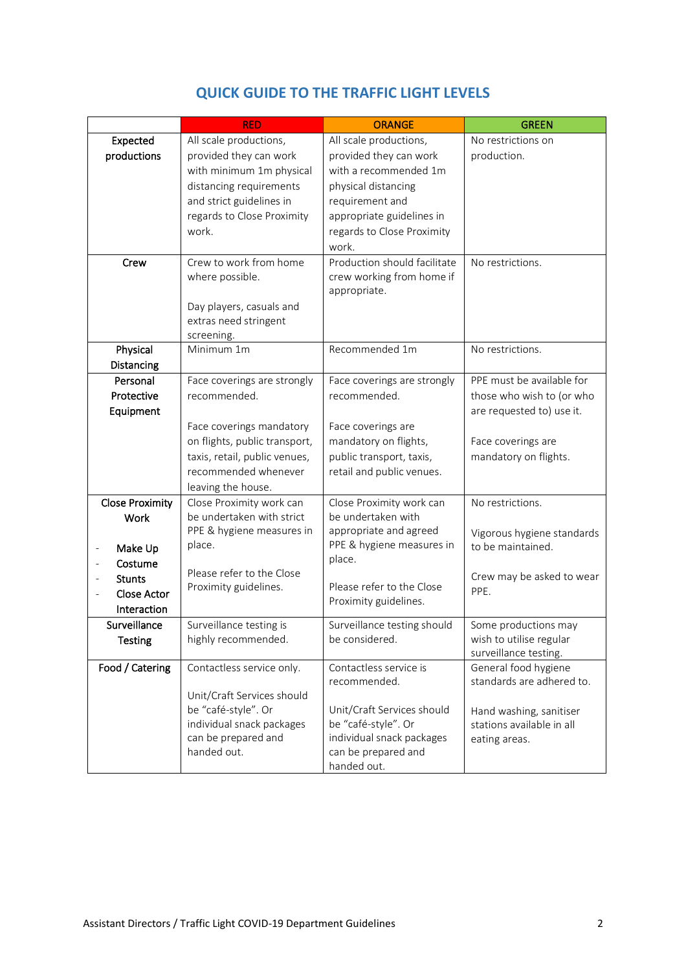|                            | <b>RED</b>                                                | <b>ORANGE</b>                | <b>GREEN</b>                                    |
|----------------------------|-----------------------------------------------------------|------------------------------|-------------------------------------------------|
| Expected                   | All scale productions,                                    | All scale productions,       | No restrictions on                              |
| productions                | provided they can work                                    | provided they can work       | production.                                     |
|                            | with minimum 1m physical                                  | with a recommended 1m        |                                                 |
|                            | distancing requirements                                   | physical distancing          |                                                 |
|                            | and strict guidelines in                                  | requirement and              |                                                 |
|                            | regards to Close Proximity                                | appropriate guidelines in    |                                                 |
|                            | work.                                                     | regards to Close Proximity   |                                                 |
|                            |                                                           | work.                        |                                                 |
| Crew                       | Crew to work from home                                    | Production should facilitate | No restrictions.                                |
|                            | where possible.                                           | crew working from home if    |                                                 |
|                            |                                                           | appropriate.                 |                                                 |
|                            | Day players, casuals and                                  |                              |                                                 |
|                            | extras need stringent                                     |                              |                                                 |
| Physical                   | screening.<br>Minimum 1m                                  | Recommended 1m               | No restrictions.                                |
| Distancing                 |                                                           |                              |                                                 |
| Personal                   | Face coverings are strongly                               | Face coverings are strongly  | PPE must be available for                       |
| Protective                 | recommended.                                              | recommended.                 | those who wish to (or who                       |
|                            |                                                           |                              | are requested to) use it.                       |
| Equipment                  |                                                           | Face coverings are           |                                                 |
|                            | Face coverings mandatory<br>on flights, public transport, | mandatory on flights,        | Face coverings are                              |
|                            |                                                           |                              |                                                 |
|                            | taxis, retail, public venues,<br>recommended whenever     | public transport, taxis,     | mandatory on flights.                           |
|                            |                                                           | retail and public venues.    |                                                 |
| <b>Close Proximity</b>     | leaving the house.<br>Close Proximity work can            | Close Proximity work can     | No restrictions.                                |
| Work                       | be undertaken with strict                                 | be undertaken with           |                                                 |
|                            | PPE & hygiene measures in                                 | appropriate and agreed       |                                                 |
|                            | place.                                                    | PPE & hygiene measures in    | Vigorous hygiene standards<br>to be maintained. |
| Make Up<br>Costume         |                                                           | place.                       |                                                 |
|                            | Please refer to the Close                                 |                              | Crew may be asked to wear                       |
| <b>Stunts</b>              | Proximity guidelines.                                     | Please refer to the Close    | PPE.                                            |
| Close Actor<br>Interaction |                                                           | Proximity guidelines.        |                                                 |
| Surveillance               | Surveillance testing is                                   | Surveillance testing should  | Some productions may                            |
| <b>Testing</b>             | highly recommended.                                       | be considered.               | wish to utilise regular                         |
|                            |                                                           |                              | surveillance testing.                           |
| Food / Catering            | Contactless service only.                                 | Contactless service is       | General food hygiene                            |
|                            |                                                           | recommended.                 | standards are adhered to.                       |
|                            | Unit/Craft Services should                                |                              |                                                 |
|                            | be "café-style". Or                                       | Unit/Craft Services should   | Hand washing, sanitiser                         |
|                            | individual snack packages                                 | be "café-style". Or          | stations available in all                       |
|                            | can be prepared and                                       | individual snack packages    | eating areas.                                   |
|                            | handed out.                                               | can be prepared and          |                                                 |
|                            |                                                           | handed out.                  |                                                 |

# **QUICK GUIDE TO THE TRAFFIC LIGHT LEVELS**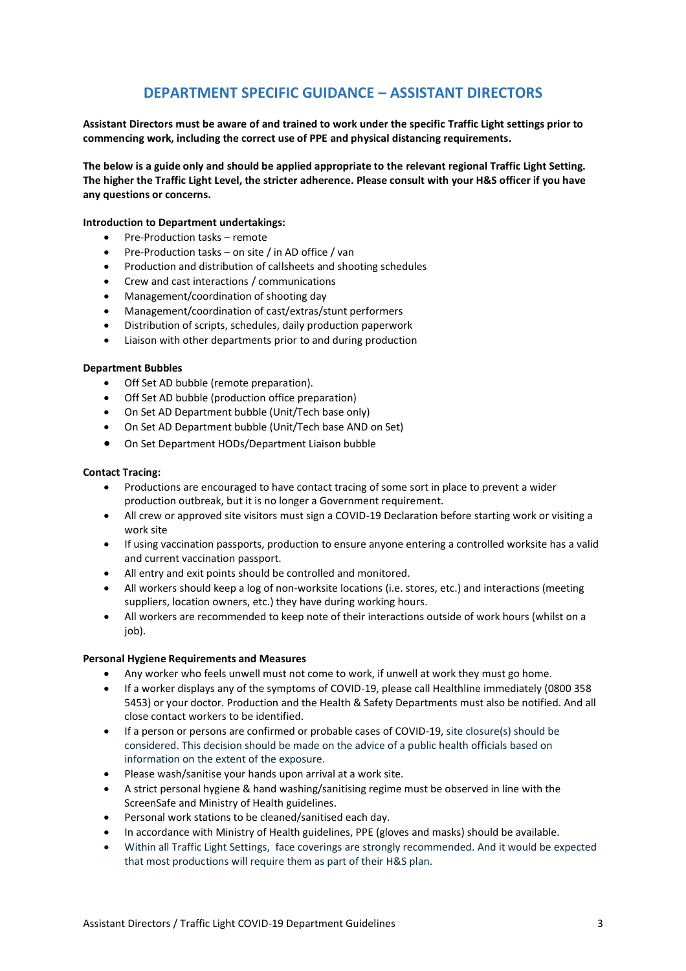# **DEPARTMENT SPECIFIC GUIDANCE – ASSISTANT DIRECTORS**

**Assistant Directors must be aware of and trained to work under the specific Traffic Light settings prior to commencing work, including the correct use of PPE and physical distancing requirements.**

**The below is a guide only and should be applied appropriate to the relevant regional Traffic Light Setting. The higher the Traffic Light Level, the stricter adherence. Please consult with your H&S officer if you have any questions or concerns.**

#### **Introduction to Department undertakings:**

- Pre-Production tasks remote
- Pre-Production tasks on site / in AD office / van
- Production and distribution of callsheets and shooting schedules
- Crew and cast interactions / communications
- Management/coordination of shooting day
- Management/coordination of cast/extras/stunt performers
- Distribution of scripts, schedules, daily production paperwork
- Liaison with other departments prior to and during production

#### **Department Bubbles**

- Off Set AD bubble (remote preparation).
- Off Set AD bubble (production office preparation)
- On Set AD Department bubble (Unit/Tech base only)
- On Set AD Department bubble (Unit/Tech base AND on Set)
- On Set Department HODs/Department Liaison bubble

### **Contact Tracing:**

- Productions are encouraged to have contact tracing of some sort in place to prevent a wider production outbreak, but it is no longer a Government requirement.
- All crew or approved site visitors must sign a COVID-19 Declaration before starting work or visiting a work site
- If using vaccination passports, production to ensure anyone entering a controlled worksite has a valid and current vaccination passport.
- All entry and exit points should be controlled and monitored.
- All workers should keep a log of non-worksite locations (i.e. stores, etc.) and interactions (meeting suppliers, location owners, etc.) they have during working hours.
- All workers are recommended to keep note of their interactions outside of work hours (whilst on a job).

### **Personal Hygiene Requirements and Measures**

- Any worker who feels unwell must not come to work, if unwell at work they must go home.
- If a worker displays any of the symptoms of COVID-19, please call Healthline immediately (0800 358 5453) or your doctor. Production and the Health & Safety Departments must also be notified. And all close contact workers to be identified.
- If a person or persons are confirmed or probable cases of COVID-19, site closure(s) should be considered. This decision should be made on the advice of a public health officials based on information on the extent of the exposure.
- Please wash/sanitise your hands upon arrival at a work site.
- A strict personal hygiene & hand washing/sanitising regime must be observed in line with the ScreenSafe and Ministry of Health guidelines.
- Personal work stations to be cleaned/sanitised each day.
- In accordance with Ministry of Health guidelines, PPE (gloves and masks) should be available.
- Within all Traffic Light Settings, face coverings are strongly recommended. And it would be expected that most productions will require them as part of their H&S plan.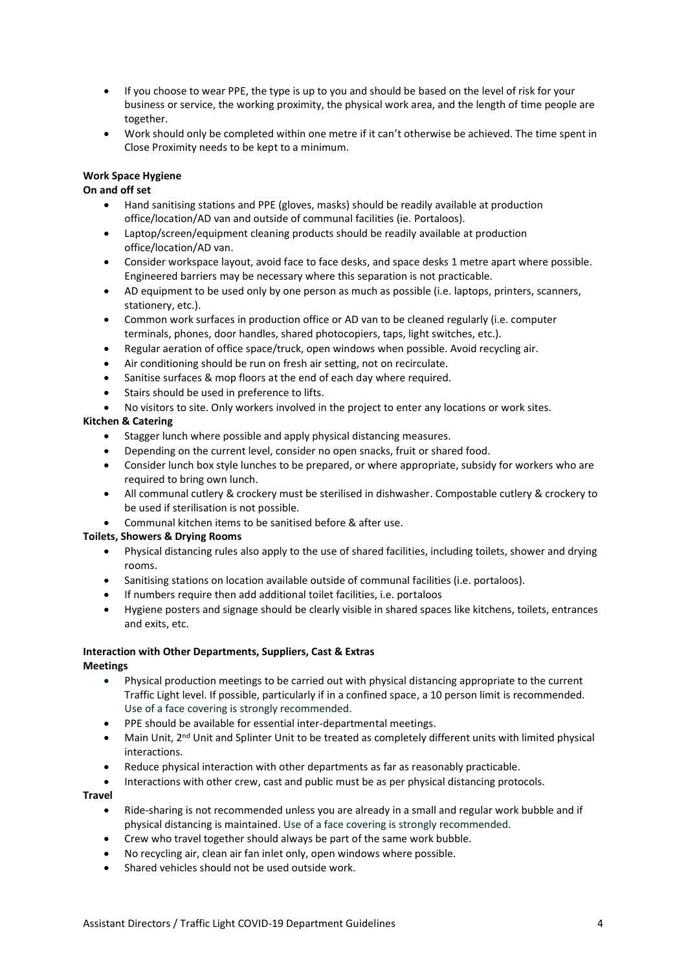- If you choose to wear PPE, the type is up to you and should be based on the level of risk for your business or service, the working proximity, the physical work area, and the length of time people are together.
- Work should only be completed within one metre if it can't otherwise be achieved. The time spent in Close Proximity needs to be kept to a minimum.

# **Work Space Hygiene**

## **On and off set**

- Hand sanitising stations and PPE (gloves, masks) should be readily available at production office/location/AD van and outside of communal facilities (ie. Portaloos).
- Laptop/screen/equipment cleaning products should be readily available at production office/location/AD van.
- Consider workspace layout, avoid face to face desks, and space desks 1 metre apart where possible. Engineered barriers may be necessary where this separation is not practicable.
- AD equipment to be used only by one person as much as possible (i.e. laptops, printers, scanners, stationery, etc.).
- Common work surfaces in production office or AD van to be cleaned regularly (i.e. computer terminals, phones, door handles, shared photocopiers, taps, light switches, etc.).
- Regular aeration of office space/truck, open windows when possible. Avoid recycling air.
- Air conditioning should be run on fresh air setting, not on recirculate.
- Sanitise surfaces & mop floors at the end of each day where required.
- Stairs should be used in preference to lifts.
- No visitors to site. Only workers involved in the project to enter any locations or work sites.

# **Kitchen & Catering**

- Stagger lunch where possible and apply physical distancing measures.
- Depending on the current level, consider no open snacks, fruit or shared food.
- Consider lunch box style lunches to be prepared, or where appropriate, subsidy for workers who are required to bring own lunch.
- All communal cutlery & crockery must be sterilised in dishwasher. Compostable cutlery & crockery to be used if sterilisation is not possible.
- Communal kitchen items to be sanitised before & after use.

### **Toilets, Showers & Drying Rooms**

- Physical distancing rules also apply to the use of shared facilities, including toilets, shower and drying rooms.
- Sanitising stations on location available outside of communal facilities (i.e. portaloos).
- If numbers require then add additional toilet facilities, i.e. portaloos
- Hygiene posters and signage should be clearly visible in shared spaces like kitchens, toilets, entrances and exits, etc.

#### **Interaction with Other Departments, Suppliers, Cast & Extras Meetings**

- Physical production meetings to be carried out with physical distancing appropriate to the current Traffic Light level. If possible, particularly if in a confined space, a 10 person limit is recommended. Use of a face covering is strongly recommended.
- PPE should be available for essential inter-departmental meetings.
- Main Unit, 2<sup>nd</sup> Unit and Splinter Unit to be treated as completely different units with limited physical interactions.
- Reduce physical interaction with other departments as far as reasonably practicable.
- Interactions with other crew, cast and public must be as per physical distancing protocols.

### **Travel**

- Ride-sharing is not recommended unless you are already in a small and regular work bubble and if physical distancing is maintained. Use of a face covering is strongly recommended.
- Crew who travel together should always be part of the same work bubble.
- No recycling air, clean air fan inlet only, open windows where possible.
- Shared vehicles should not be used outside work.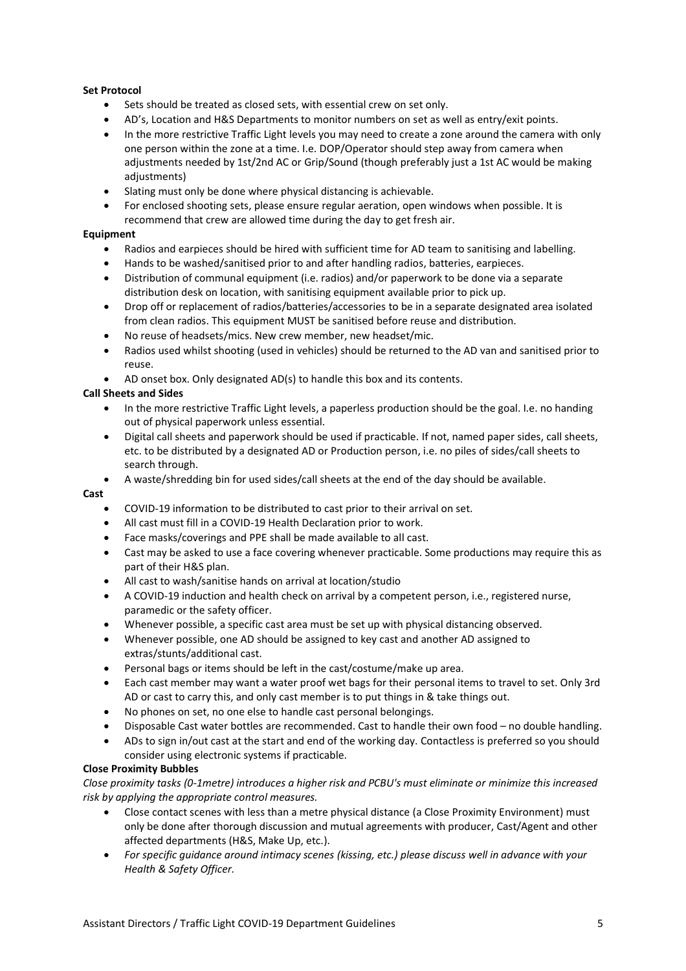# **Set Protocol**

- Sets should be treated as closed sets, with essential crew on set only.
- AD's, Location and H&S Departments to monitor numbers on set as well as entry/exit points.
- In the more restrictive Traffic Light levels you may need to create a zone around the camera with only one person within the zone at a time. I.e. DOP/Operator should step away from camera when adjustments needed by 1st/2nd AC or Grip/Sound (though preferably just a 1st AC would be making adiustments)
- Slating must only be done where physical distancing is achievable.
- For enclosed shooting sets, please ensure regular aeration, open windows when possible. It is recommend that crew are allowed time during the day to get fresh air.

# **Equipment**

- Radios and earpieces should be hired with sufficient time for AD team to sanitising and labelling.
- Hands to be washed/sanitised prior to and after handling radios, batteries, earpieces.
- Distribution of communal equipment (i.e. radios) and/or paperwork to be done via a separate distribution desk on location, with sanitising equipment available prior to pick up.
- Drop off or replacement of radios/batteries/accessories to be in a separate designated area isolated from clean radios. This equipment MUST be sanitised before reuse and distribution.
- No reuse of headsets/mics. New crew member, new headset/mic.
- Radios used whilst shooting (used in vehicles) should be returned to the AD van and sanitised prior to reuse.
- AD onset box. Only designated AD(s) to handle this box and its contents.

# **Call Sheets and Sides**

- In the more restrictive Traffic Light levels, a paperless production should be the goal. I.e. no handing out of physical paperwork unless essential.
- Digital call sheets and paperwork should be used if practicable. If not, named paper sides, call sheets, etc. to be distributed by a designated AD or Production person, i.e. no piles of sides/call sheets to search through.
- A waste/shredding bin for used sides/call sheets at the end of the day should be available.

### **Cast**

- COVID-19 information to be distributed to cast prior to their arrival on set.
- All cast must fill in a COVID-19 Health Declaration prior to work.
- Face masks/coverings and PPE shall be made available to all cast.
- Cast may be asked to use a face covering whenever practicable. Some productions may require this as part of their H&S plan.
- All cast to wash/sanitise hands on arrival at location/studio
- A COVID-19 induction and health check on arrival by a competent person, i.e., registered nurse, paramedic or the safety officer.
- Whenever possible, a specific cast area must be set up with physical distancing observed.
- Whenever possible, one AD should be assigned to key cast and another AD assigned to extras/stunts/additional cast.
- Personal bags or items should be left in the cast/costume/make up area.
- Each cast member may want a water proof wet bags for their personal items to travel to set. Only 3rd AD or cast to carry this, and only cast member is to put things in & take things out.
- No phones on set, no one else to handle cast personal belongings.
- Disposable Cast water bottles are recommended. Cast to handle their own food no double handling.
- ADs to sign in/out cast at the start and end of the working day. Contactless is preferred so you should consider using electronic systems if practicable.

### **Close Proximity Bubbles**

*Close proximity tasks (0-1metre) introduces a higher risk and PCBU's must eliminate or minimize this increased risk by applying the appropriate control measures.* 

- Close contact scenes with less than a metre physical distance (a Close Proximity Environment) must only be done after thorough discussion and mutual agreements with producer, Cast/Agent and other affected departments (H&S, Make Up, etc.).
- *For specific guidance around intimacy scenes (kissing, etc.) please discuss well in advance with your Health & Safety Officer.*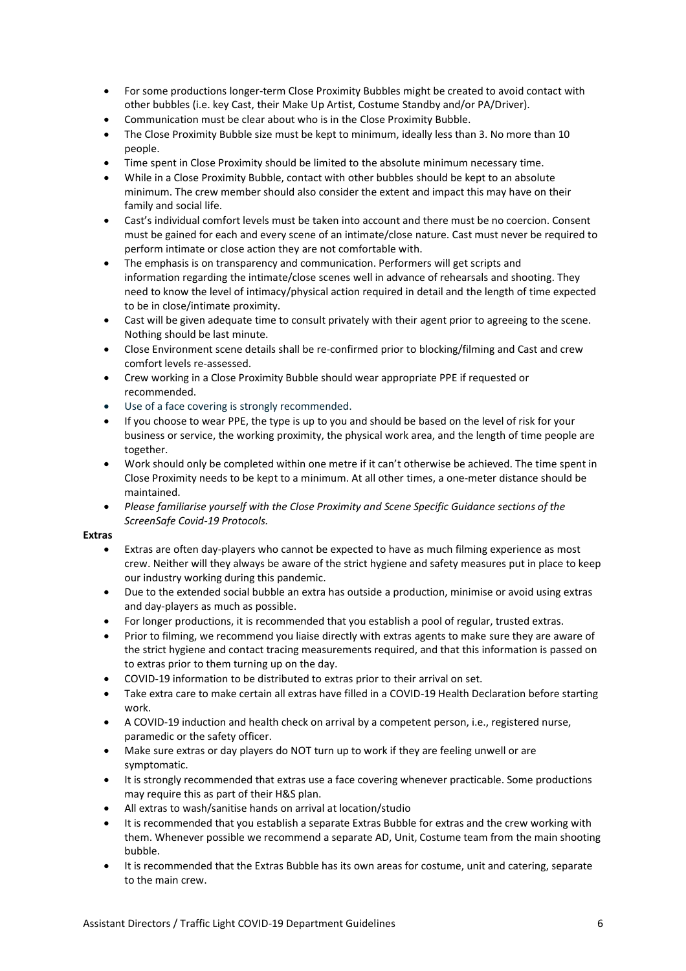- For some productions longer-term Close Proximity Bubbles might be created to avoid contact with other bubbles (i.e. key Cast, their Make Up Artist, Costume Standby and/or PA/Driver).
- Communication must be clear about who is in the Close Proximity Bubble.
- The Close Proximity Bubble size must be kept to minimum, ideally less than 3. No more than 10 people.
- Time spent in Close Proximity should be limited to the absolute minimum necessary time.
- While in a Close Proximity Bubble, contact with other bubbles should be kept to an absolute minimum. The crew member should also consider the extent and impact this may have on their family and social life.
- Cast's individual comfort levels must be taken into account and there must be no coercion. Consent must be gained for each and every scene of an intimate/close nature. Cast must never be required to perform intimate or close action they are not comfortable with.
- The emphasis is on transparency and communication. Performers will get scripts and information regarding the intimate/close scenes well in advance of rehearsals and shooting. They need to know the level of intimacy/physical action required in detail and the length of time expected to be in close/intimate proximity.
- Cast will be given adequate time to consult privately with their agent prior to agreeing to the scene. Nothing should be last minute.
- Close Environment scene details shall be re-confirmed prior to blocking/filming and Cast and crew comfort levels re-assessed.
- Crew working in a Close Proximity Bubble should wear appropriate PPE if requested or recommended.
- Use of a face covering is strongly recommended.
- If you choose to wear PPE, the type is up to you and should be based on the level of risk for your business or service, the working proximity, the physical work area, and the length of time people are together.
- Work should only be completed within one metre if it can't otherwise be achieved. The time spent in Close Proximity needs to be kept to a minimum. At all other times, a one-meter distance should be maintained.
- *Please familiarise yourself with the Close Proximity and Scene Specific Guidance sections of the ScreenSafe Covid-19 Protocols.*

### **Extras**

- Extras are often day-players who cannot be expected to have as much filming experience as most crew. Neither will they always be aware of the strict hygiene and safety measures put in place to keep our industry working during this pandemic.
- Due to the extended social bubble an extra has outside a production, minimise or avoid using extras and day-players as much as possible.
- For longer productions, it is recommended that you establish a pool of regular, trusted extras.
- Prior to filming, we recommend you liaise directly with extras agents to make sure they are aware of the strict hygiene and contact tracing measurements required, and that this information is passed on to extras prior to them turning up on the day.
- COVID-19 information to be distributed to extras prior to their arrival on set.
- Take extra care to make certain all extras have filled in a COVID-19 Health Declaration before starting work.
- A COVID-19 induction and health check on arrival by a competent person, i.e., registered nurse, paramedic or the safety officer.
- Make sure extras or day players do NOT turn up to work if they are feeling unwell or are symptomatic.
- It is strongly recommended that extras use a face covering whenever practicable. Some productions may require this as part of their H&S plan.
- All extras to wash/sanitise hands on arrival at location/studio
- It is recommended that you establish a separate Extras Bubble for extras and the crew working with them. Whenever possible we recommend a separate AD, Unit, Costume team from the main shooting bubble.
- It is recommended that the Extras Bubble has its own areas for costume, unit and catering, separate to the main crew.